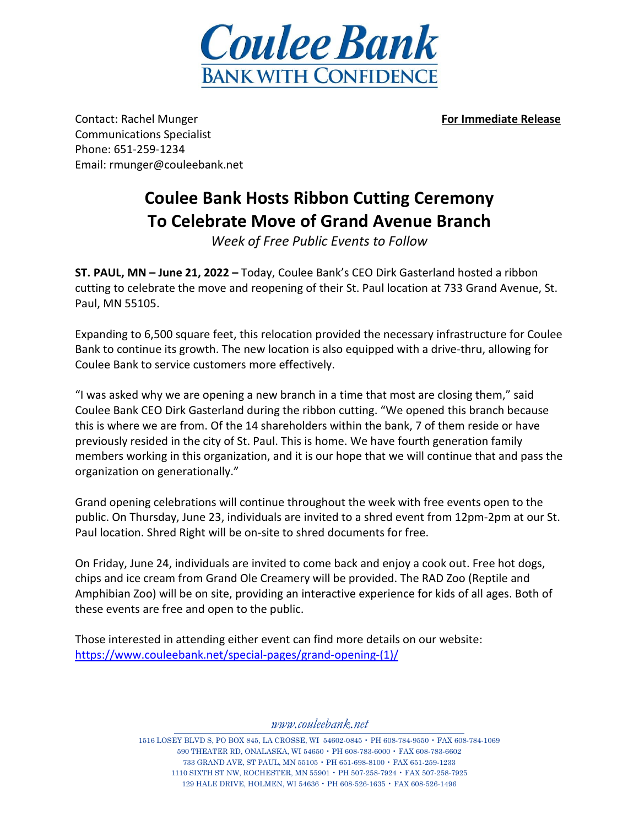

Contact: Rachel Munger **For Immediate Release** Communications Specialist Phone: 651-259-1234 Email: rmunger@couleebank.net

## **Coulee Bank Hosts Ribbon Cutting Ceremony To Celebrate Move of Grand Avenue Branch**

*Week of Free Public Events to Follow*

**ST. PAUL, MN – June 21, 2022 –** Today, Coulee Bank's CEO Dirk Gasterland hosted a ribbon cutting to celebrate the move and reopening of their St. Paul location at 733 Grand Avenue, St. Paul, MN 55105.

Expanding to 6,500 square feet, this relocation provided the necessary infrastructure for Coulee Bank to continue its growth. The new location is also equipped with a drive-thru, allowing for Coulee Bank to service customers more effectively.

"I was asked why we are opening a new branch in a time that most are closing them," said Coulee Bank CEO Dirk Gasterland during the ribbon cutting. "We opened this branch because this is where we are from. Of the 14 shareholders within the bank, 7 of them reside or have previously resided in the city of St. Paul. This is home. We have fourth generation family members working in this organization, and it is our hope that we will continue that and pass the organization on generationally."

Grand opening celebrations will continue throughout the week with free events open to the public. On Thursday, June 23, individuals are invited to a shred event from 12pm-2pm at our St. Paul location. Shred Right will be on-site to shred documents for free.

On Friday, June 24, individuals are invited to come back and enjoy a cook out. Free hot dogs, chips and ice cream from Grand Ole Creamery will be provided. The RAD Zoo (Reptile and Amphibian Zoo) will be on site, providing an interactive experience for kids of all ages. Both of these events are free and open to the public.

Those interested in attending either event can find more details on our website: [https://www.couleebank.net/special-pages/grand-opening-\(1\)/](https://www.couleebank.net/special-pages/grand-opening-(1)/)

*[www.couleebank.net](http://www.couleebank.net/)*

 LOSEY BLVD S, PO BOX 845, LA CROSSE, WI 54602-0845 • PH 608-784-9550 • FAX 608-784-1069 THEATER RD, ONALASKA, WI 54650 • PH 608-783-6000 • FAX 608-783-6602 GRAND AVE, ST PAUL, MN 55105 • PH 651-698-8100 • FAX 651-259-1233 SIXTH ST NW, ROCHESTER, MN 55901 • PH 507-258-7924 • FAX 507-258-7925 HALE DRIVE, HOLMEN, WI 54636 • PH 608-526-1635 • FAX 608-526-1496